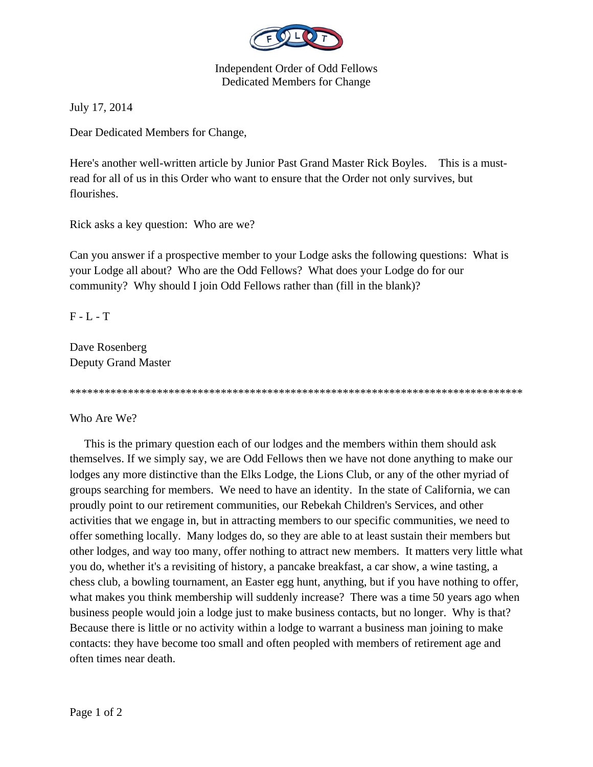

Independent Order of Odd Fellows Dedicated Members for Change

July 17, 2014

Dear Dedicated Members for Change,

Here's another well-written article by Junior Past Grand Master Rick Boyles. This is a mustread for all of us in this Order who want to ensure that the Order not only survives, but flourishes.

Rick asks a key question: Who are we?

Can you answer if a prospective member to your Lodge asks the following questions: What is your Lodge all about? Who are the Odd Fellows? What does your Lodge do for our community? Why should I join Odd Fellows rather than (fill in the blank)?

 $F - L - T$ 

Dave Rosenberg Deputy Grand Master

\*\*\*\*\*\*\*\*\*\*\*\*\*\*\*\*\*\*\*\*\*\*\*\*\*\*\*\*\*\*\*\*\*\*\*\*\*\*\*\*\*\*\*\*\*\*\*\*\*\*\*\*\*\*\*\*\*\*\*\*\*\*\*\*\*\*\*\*\*\*\*\*\*\*\*\*\*\*

Who Are We?

 This is the primary question each of our lodges and the members within them should ask themselves. If we simply say, we are Odd Fellows then we have not done anything to make our lodges any more distinctive than the Elks Lodge, the Lions Club, or any of the other myriad of groups searching for members. We need to have an identity. In the state of California, we can proudly point to our retirement communities, our Rebekah Children's Services, and other activities that we engage in, but in attracting members to our specific communities, we need to offer something locally. Many lodges do, so they are able to at least sustain their members but other lodges, and way too many, offer nothing to attract new members. It matters very little what you do, whether it's a revisiting of history, a pancake breakfast, a car show, a wine tasting, a chess club, a bowling tournament, an Easter egg hunt, anything, but if you have nothing to offer, what makes you think membership will suddenly increase? There was a time 50 years ago when business people would join a lodge just to make business contacts, but no longer. Why is that? Because there is little or no activity within a lodge to warrant a business man joining to make contacts: they have become too small and often peopled with members of retirement age and often times near death.